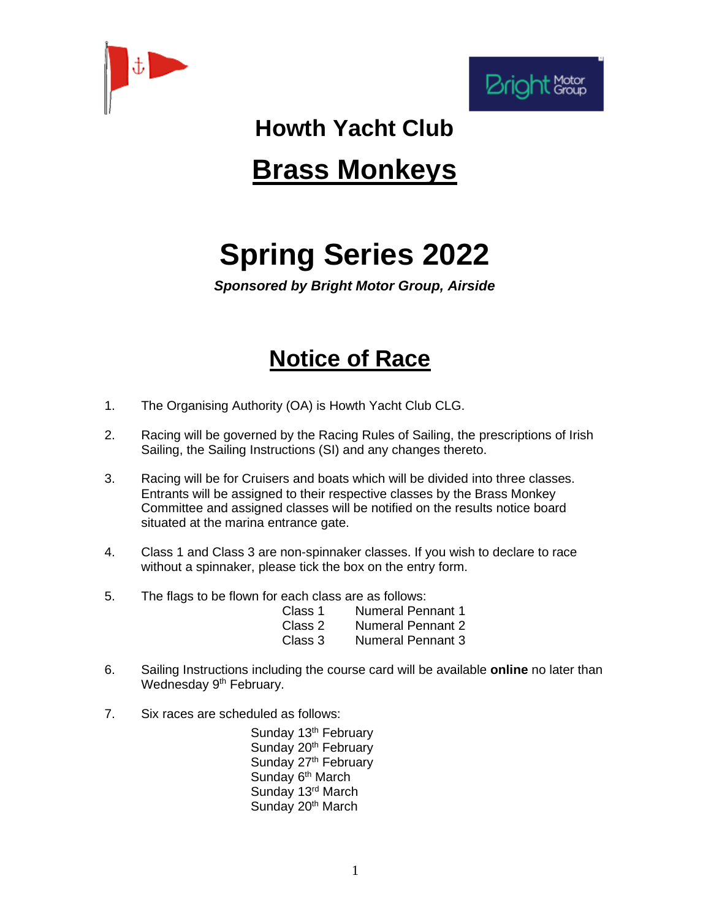



## **Howth Yacht Club**

## **Brass Monkeys**

## **Spring Series 2022**

*Sponsored by Bright Motor Group, Airside*

## **Notice of Race**

- 1. The Organising Authority (OA) is Howth Yacht Club CLG.
- 2. Racing will be governed by the Racing Rules of Sailing, the prescriptions of Irish Sailing, the Sailing Instructions (SI) and any changes thereto.
- 3. Racing will be for Cruisers and boats which will be divided into three classes. Entrants will be assigned to their respective classes by the Brass Monkey Committee and assigned classes will be notified on the results notice board situated at the marina entrance gate.
- 4. Class 1 and Class 3 are non-spinnaker classes. If you wish to declare to race without a spinnaker, please tick the box on the entry form.
- 5. The flags to be flown for each class are as follows:

| Class 1 | <b>Numeral Pennant 1</b> |
|---------|--------------------------|
| Class 2 | <b>Numeral Pennant 2</b> |
| Class 3 | <b>Numeral Pennant 3</b> |

- 6. Sailing Instructions including the course card will be available **online** no later than Wednesday 9<sup>th</sup> February.
- 7. Six races are scheduled as follows:

Sunday 13<sup>th</sup> February Sunday 20<sup>th</sup> February Sunday 27<sup>th</sup> February Sunday 6<sup>th</sup> March Sunday 13<sup>rd</sup> March Sunday 20<sup>th</sup> March